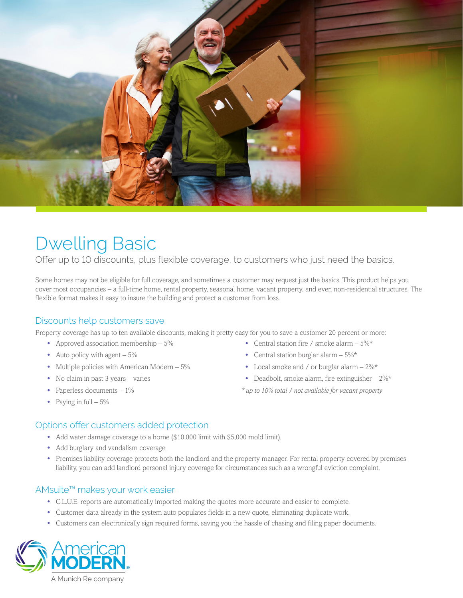

## Dwelling Basic

Offer up to 10 discounts, plus flexible coverage, to customers who just need the basics.

Some homes may not be eligible for full coverage, and sometimes a customer may request just the basics. This product helps you cover most occupancies – a full-time home, rental property, seasonal home, vacant property, and even non-residential structures. The flexible format makes it easy to insure the building and protect a customer from loss.

## Discounts help customers save

Property coverage has up to ten available discounts, making it pretty easy for you to save a customer 20 percent or more:

- **•** Approved association membership 5%
- Auto policy with agent  $5\%$
- Multiple policies with American Modern 5%
- **•** No claim in past 3 years varies
- **•** Paperless documents 1%
- **•** Paying in full 5%
- **•** Central station fire / smoke alarm 5%\*
- **•** Central station burglar alarm 5%\*
- **•** Local smoke and / or burglar alarm 2%\*
- Deadbolt, smoke alarm, fire extinguisher  $2\%$ \*

*\* up to 10% total / not available for vacant property* 

- Options offer customers added protection
	- **•** Add water damage coverage to a home (\$10,000 limit with \$5,000 mold limit).
	- **•** Add burglary and vandalism coverage.
	- **•** Premises liability coverage protects both the landlord and the property manager. For rental property covered by premises liability, you can add landlord personal injury coverage for circumstances such as a wrongful eviction complaint.

## AMsuite™ makes your work easier

- **•** C.L.U.E. reports are automatically imported making the quotes more accurate and easier to complete.
- **•** Customer data already in the system auto populates fields in a new quote, eliminating duplicate work.
- **•** Customers can electronically sign required forms, saving you the hassle of chasing and filing paper documents.